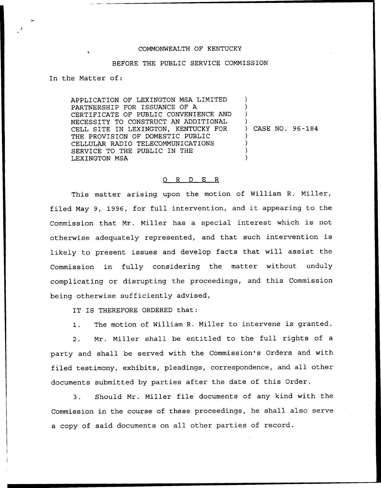## COMMONWEALTH OF KENTUCKY

### BEFORE THE PUBLIC SERVICE COMMISSION

In the Matter of:

APPLICATION OF LEXINGTON MSA LIMITED PARTNERSHIP FOR ISSUANCE OF A CERTIFICATE OF PUBLIC CONVENIENCE AND NECESSITY TO CONSTRUCT AN ADDITIONAL CELL SITE IN LEXINGTON, KENTUCKY FOR THE PROVISION OF DOMESTIC PUBLIC CELLULAR RADIO TELECOMMUNICATIONS SERVICE TO THE PUBLIC IN THE LEXINGTON MSA ) ) ) ) ) CASE NO. 96-184 ) ) ) )

### 0 R <sup>D</sup> E R

This matter arising upon the motion of William R. Miller, filed May 9, 1996, for full intervention, and it appearing to the Commission that Mr. Miller has a special interest which is not otherwise adequately represented, and that such intervention is likely to present issues and develop facts that will assist the Commission in fully considering the matter without unduly complicating or disrupting the proceedings, and this Commission being otherwise sufficiently advised,

IT IS THEREFORE ORDERED that:

1. The motion of William R. Miller to intervene is granted.

2. Mr. Miller shall be entitled to the full rights of a party and shall be served with the Commission's Orders and with filed testimony, exhibits, pleadings, correspondence, and all other documents submitted by parties after the date of this Order.

3. Should Mr. Miller file documents of any kind with the Commission in the course of these proceedings, he shall also serve a copy of said documents on all other parties of record.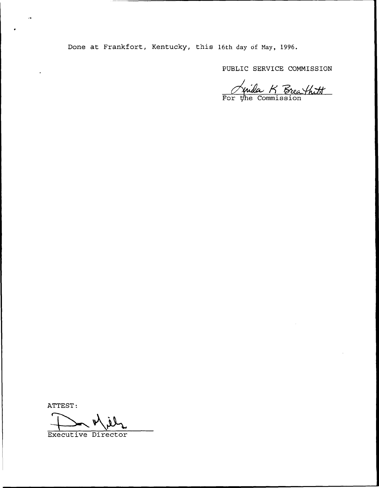Done at Frankfort, Kentucky, this 16th day of Nay, 1996.

PUBLIC SERVICE COMMISSION

<u>Nuida K Breathitt</u>

ATTEST

Executive Director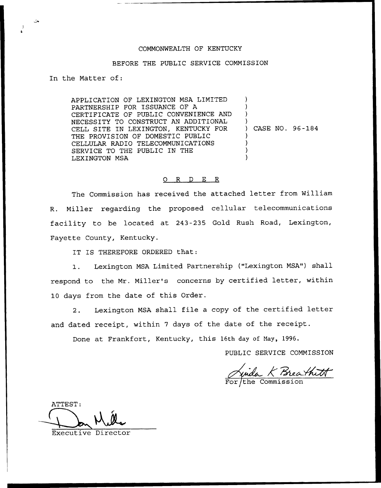# COMMONWEALTH OF KENTUCKY

## BEFORE THE PUBLIC SERVICE COMMISSION

In the Matter of:

APPLICATION OF LEXINGTON MSA LIMITED PARTNERSHIP FOR ISSUANCE OF A CERTIFICATE OF PUBLIC CONVENIENCE AND NECESSITY TO CONSTRUCT AN ADDITIONAL CELL SITE IN LEXINGTON, KENTUCKY FOR THE PROVISION OF DOMESTIC PUBLIC CELLULAR RADIO TELECOMMUNICATIONS SERVICE TO THE PUBLIC IN THE LEXINGTON MSA ) ) ) ) ) CASE NO. 96-184 ) ) ) )

### 0 R <sup>D</sup> E R

The Commission has received the attached letter from William R. Miller regarding the proposed cellular telecommunications facility to be located at 243-235 Gold Rush Road, Lexington, Fayette County, Kentucky.

IT IS THEREFORE ORDERED that:

1. Lexington MSA Limited Partnership ("Lexington MSA") shall respond to the Mr. Miller's concerns by certified letter, within 10 days from the date of this Order.

2. Lexington MSA shall file <sup>a</sup> copy of the certified letter and dated receipt, within <sup>7</sup> days of the date of the receipt.

Done at Frankfort, Kentucky, this 16th day of Nay, 1996.

PUBLIC SERVICE COMMISSION

Junda K Breathitt

ATTEST:

Executive Director